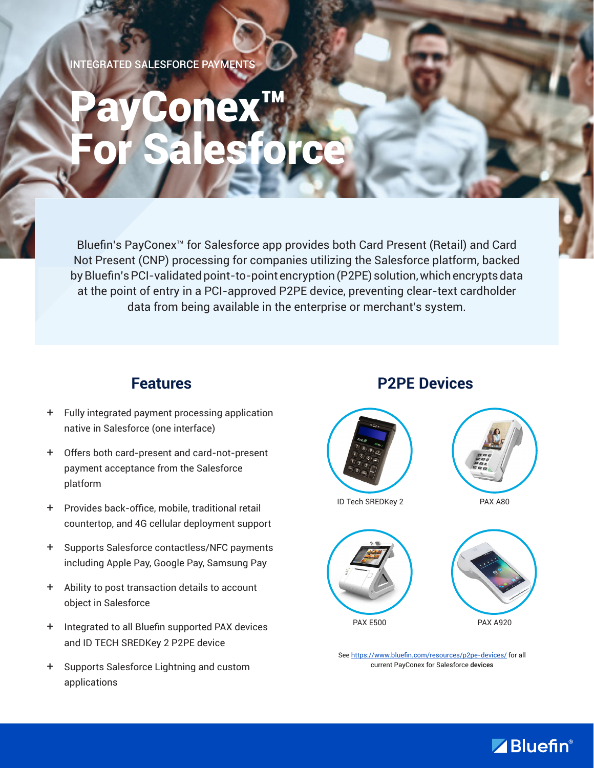INTEGRATED SALESFORCE PAYMENTS

# PayConex™ For Salesforce

Bluefin's PayConex™ for Salesforce app provides both Card Present (Retail) and Card Not Present (CNP) processing for companies utilizing the Salesforce platform, backed by Bluefin's PCI-validated point-to-point encryption (P2PE) solution, which encrypts data at the point of entry in a PCI-approved P2PE device, preventing clear-text cardholder data from being available in the enterprise or merchant's system.

#### **Features**

- + Fully integrated payment processing application native in Salesforce (one interface)
- + Offers both card-present and card-not-present payment acceptance from the Salesforce platform
- + Provides back-office, mobile, traditional retail countertop, and 4G cellular deployment support
- + Supports Salesforce contactless/NFC payments including Apple Pay, Google Pay, Samsung Pay
- + Ability to post transaction details to account object in Salesforce
- + Integrated to all Bluefin supported PAX devices and ID TECH SREDKey 2 P2PE device
- + Supports Salesforce Lightning and custom applications

#### **P2PE Devices**







See https://www.bluefin.com/resources/p2pe-devices/ for all current PayConex for Salesforce devices